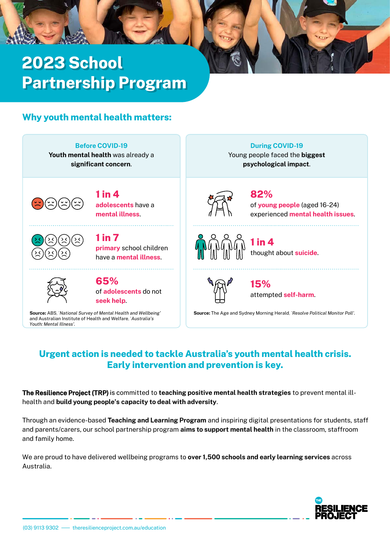# **2023 School Partnership Program**

# **Why youth mental health matters:**

**Before COVID-19**

**Youth mental health** was already a **significant concern**.



**adolescents** have a **mental illness**. **1 in 4**



**1 in 7**

**primary** school children have a **mental illness**.



of **adolescents** do not **seek help**. **65%**

and Australian Institute of Health and Welfare, '*Australia's Youth: Mental Illness'.*

**During COVID-19** Young people faced the **biggest**

**psychological impact**.



of **young people** (aged 16-24) experienced **mental health issues**. **82%**



thought about **suicide**. **1 in 4**



attempted **self-harm**. **15%**

**Source:** ABS, '*National Survey of Mental Health and Wellbeing'* **Source:** The Age and Sydney Morning Herald, '*Resolve Political Monitor Poll'.*

# **Urgent action is needed to tackle Australia's youth mental health crisis. Early intervention and prevention is key.**

**The Resilience Project (TRP)** is committed to **teaching positive mental health strategies** to prevent mental illhealth and **build young people's capacity to deal with adversity**.

Through an evidence-based **Teaching and Learning Program** and inspiring digital presentations for students, staff and parents/carers, our school partnership program **aims to support mental health** in the classroom, staffroom and family home.

We are proud to have delivered wellbeing programs to **over 1,500 schools and early learning services** across Australia.

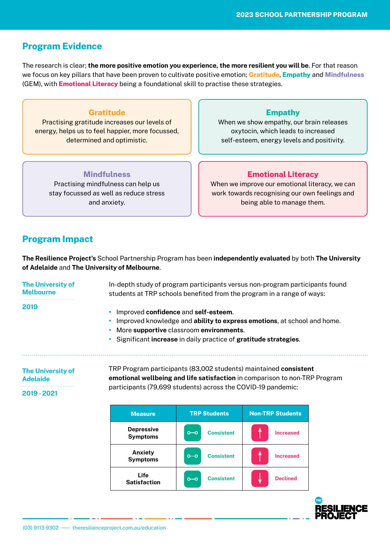## **Program Evidence**

The research is clear; **the more positive emotion you experience, the more resilient you will be**. For that reason we focus on key pillars that have been proven to cultivate positive emotion; **Gratitude**, **Empathy** and **Mindfulness** (GEM), with **Emotional Literacy** being a foundational skill to practise these strategies.

## **Gratitude**

Practising gratitude increases our levels of energy, helps us to feel happier, more focussed, determined and optimistic.

## **Empathy**

When we show empathy, our brain releases oxytocin, which leads to increased self-esteem, energy levels and positivity.

#### **Mindfulness**

Practising mindfulness can help us stay focussed as well as reduce stress and anxiety.

### **Emotional Literacy**

When we improve our emotional literacy, we can work towards recognising our own feelings and being able to manage them.

## **Program Impact**

**The Resilience Project's** School Partnership Program has been **independently evaluated** by both **The University of Adelaide** and **The University of Melbourne**.

In-depth study of program participants versus non-program participants found students at TRP schools benefited from the program in a range of ways: **•** Improved **confidence** and **self-esteem**. **•** Improved knowledge and **ability to express emotions**, at school and home. **•** More **supportive** classroom **environments**. **•** Significant **increase** in daily practice of **gratitude strategies**. TRP Program participants (83,002 students) maintained **consistent The University of Melbourne The University of 2019**

**Adelaide**

**emotional wellbeing and life satisfaction** in comparison to non-TRP Program participants (79,699 students) across the COVID-19 pandemic:

**2019 - 2021**

| <b>Measure</b>                       | <b>TRP Students</b>                                                         | <b>Non-TRP Students</b> |  |
|--------------------------------------|-----------------------------------------------------------------------------|-------------------------|--|
| <b>Depressive</b><br><b>Symptoms</b> | <b>Consistent</b><br>$o$ —o                                                 | <b>Increased</b>        |  |
| Anxiety<br><b>Symptoms</b>           | <b>Consistent</b><br>$o$ - $o$                                              | <b>Increased</b>        |  |
| Life<br><b>Satisfaction</b>          | <b>Consistent</b><br>$\overline{\circ\hspace{-1.2mm}-\hspace{-1.2mm}}\circ$ | <b>Declined</b>         |  |